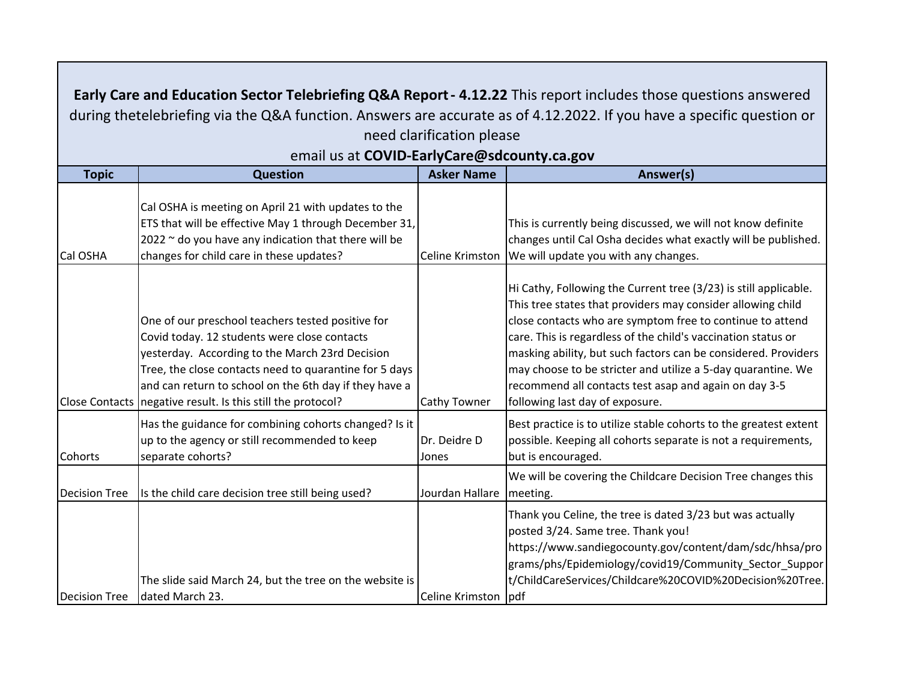| Early Care and Education Sector Telebriefing Q&A Report - 4.12.22 This report includes those questions answered<br>during thetelebriefing via the Q&A function. Answers are accurate as of 4.12.2022. If you have a specific question or |                                                                                                                                                                                                                                                                                                                                           |                       |                                                                                                                                                                                                                                                                                                                                                                                                                                                                                             |  |  |
|------------------------------------------------------------------------------------------------------------------------------------------------------------------------------------------------------------------------------------------|-------------------------------------------------------------------------------------------------------------------------------------------------------------------------------------------------------------------------------------------------------------------------------------------------------------------------------------------|-----------------------|---------------------------------------------------------------------------------------------------------------------------------------------------------------------------------------------------------------------------------------------------------------------------------------------------------------------------------------------------------------------------------------------------------------------------------------------------------------------------------------------|--|--|
| need clarification please                                                                                                                                                                                                                |                                                                                                                                                                                                                                                                                                                                           |                       |                                                                                                                                                                                                                                                                                                                                                                                                                                                                                             |  |  |
| email us at COVID-EarlyCare@sdcounty.ca.gov                                                                                                                                                                                              |                                                                                                                                                                                                                                                                                                                                           |                       |                                                                                                                                                                                                                                                                                                                                                                                                                                                                                             |  |  |
| <b>Topic</b>                                                                                                                                                                                                                             | <b>Question</b>                                                                                                                                                                                                                                                                                                                           | <b>Asker Name</b>     | Answer(s)                                                                                                                                                                                                                                                                                                                                                                                                                                                                                   |  |  |
| Cal OSHA                                                                                                                                                                                                                                 | Cal OSHA is meeting on April 21 with updates to the<br>ETS that will be effective May 1 through December 31,<br>$2022$ $\sim$ do you have any indication that there will be<br>changes for child care in these updates?                                                                                                                   | Celine Krimston       | This is currently being discussed, we will not know definite<br>changes until Cal Osha decides what exactly will be published.<br>We will update you with any changes.                                                                                                                                                                                                                                                                                                                      |  |  |
|                                                                                                                                                                                                                                          | One of our preschool teachers tested positive for<br>Covid today. 12 students were close contacts<br>yesterday. According to the March 23rd Decision<br>Tree, the close contacts need to quarantine for 5 days<br>and can return to school on the 6th day if they have a<br>Close Contacts   negative result. Is this still the protocol? | <b>Cathy Towner</b>   | Hi Cathy, Following the Current tree (3/23) is still applicable.<br>This tree states that providers may consider allowing child<br>close contacts who are symptom free to continue to attend<br>care. This is regardless of the child's vaccination status or<br>masking ability, but such factors can be considered. Providers<br>may choose to be stricter and utilize a 5-day quarantine. We<br>recommend all contacts test asap and again on day 3-5<br>following last day of exposure. |  |  |
| Cohorts                                                                                                                                                                                                                                  | Has the guidance for combining cohorts changed? Is it<br>up to the agency or still recommended to keep<br>separate cohorts?                                                                                                                                                                                                               | Dr. Deidre D<br>Jones | Best practice is to utilize stable cohorts to the greatest extent<br>possible. Keeping all cohorts separate is not a requirements,<br>but is encouraged.                                                                                                                                                                                                                                                                                                                                    |  |  |
| <b>Decision Tree</b>                                                                                                                                                                                                                     | Is the child care decision tree still being used?                                                                                                                                                                                                                                                                                         | Jourdan Hallare       | We will be covering the Childcare Decision Tree changes this<br>meeting.                                                                                                                                                                                                                                                                                                                                                                                                                    |  |  |
| <b>Decision Tree</b>                                                                                                                                                                                                                     | The slide said March 24, but the tree on the website is<br>dated March 23.                                                                                                                                                                                                                                                                | Celine Krimston   pdf | Thank you Celine, the tree is dated 3/23 but was actually<br>posted 3/24. Same tree. Thank you!<br>https://www.sandiegocounty.gov/content/dam/sdc/hhsa/pro<br>grams/phs/Epidemiology/covid19/Community Sector Suppor<br>t/ChildCareServices/Childcare%20COVID%20Decision%20Tree.                                                                                                                                                                                                            |  |  |